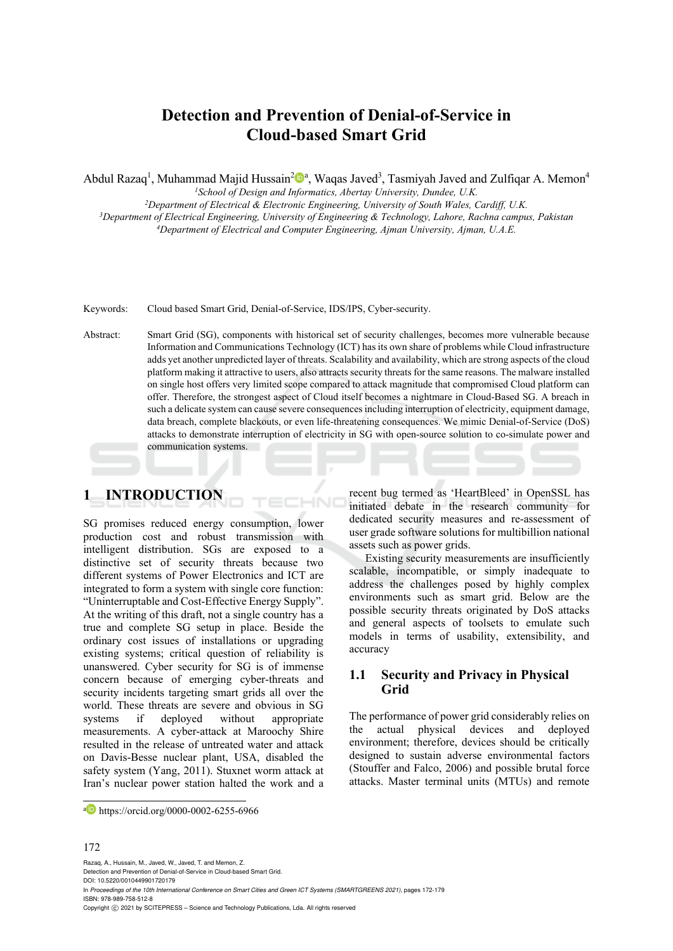# **Detection and Prevention of Denial-of-Service in Cloud-based Smart Grid**

Abdul Razaq<sup>1</sup>, Muhammad Majid Hussain<sup>2</sup><sup>Da</sup>, Waqas Javed<sup>3</sup>, Tasmiyah Javed and Zulfiqar A. Memon<sup>4</sup>

*1School of Design and Informatics, Abertay University, Dundee, U.K.*

<sup>3</sup>Department of Electrical Engineering, University of Engineering & Technology, Lahore, Rachna campus, Pakistan<br><sup>4</sup>Department of Electrical and Computer Engineering, Ajman University, Ajman, U.A.E.

Keywords: Cloud based Smart Grid, Denial-of-Service, IDS/IPS, Cyber-security.

Abstract: Smart Grid (SG), components with historical set of security challenges, becomes more vulnerable because Information and Communications Technology (ICT) has its own share of problems while Cloud infrastructure adds yet another unpredicted layer of threats. Scalability and availability, which are strong aspects of the cloud platform making it attractive to users, also attracts security threats for the same reasons. The malware installed on single host offers very limited scope compared to attack magnitude that compromised Cloud platform can offer. Therefore, the strongest aspect of Cloud itself becomes a nightmare in Cloud-Based SG. A breach in such a delicate system can cause severe consequences including interruption of electricity, equipment damage, data breach, complete blackouts, or even life-threatening consequences. We mimic Denial-of-Service (DoS) attacks to demonstrate interruption of electricity in SG with open-source solution to co-simulate power and communication systems.

# **1 INTRODUCTION**

SG promises reduced energy consumption, lower production cost and robust transmission with intelligent distribution. SGs are exposed to a distinctive set of security threats because two different systems of Power Electronics and ICT are integrated to form a system with single core function: "Uninterruptable and Cost-Effective Energy Supply". At the writing of this draft, not a single country has a true and complete SG setup in place. Beside the ordinary cost issues of installations or upgrading existing systems; critical question of reliability is unanswered. Cyber security for SG is of immense concern because of emerging cyber-threats and security incidents targeting smart grids all over the world. These threats are severe and obvious in SG systems if deployed without appropriate measurements. A cyber-attack at Maroochy Shire resulted in the release of untreated water and attack on Davis-Besse nuclear plant, USA, disabled the safety system (Yang, 2011). Stuxnet worm attack at Iran's nuclear power station halted the work and a

recent bug termed as 'HeartBleed' in OpenSSL has initiated debate in the research community for dedicated security measures and re-assessment of user grade software solutions for multibillion national assets such as power grids.

Existing security measurements are insufficiently scalable, incompatible, or simply inadequate to address the challenges posed by highly complex environments such as smart grid. Below are the possible security threats originated by DoS attacks and general aspects of toolsets to emulate such models in terms of usability, extensibility, and accuracy

### **1.1 Security and Privacy in Physical Grid**

The performance of power grid considerably relies on the actual physical devices and deployed environment; therefore, devices should be critically designed to sustain adverse environmental factors (Stouffer and Falco, 2006) and possible brutal force attacks. Master terminal units (MTUs) and remote

#### 172

Razaq, A., Hussain, M., Javed, W., Javed, T. and Memon, Z.

Detection and Prevention of Denial-of-Service in Cloud-based Smart Grid.

DOI: 10.5220/0010449901720179 In *Proceedings of the 10th International Conference on Smart Cities and Green ICT Systems (SMARTGREENS 2021)*, pages 172-179 ISBN: 978-989-758-512-8

Copyright © 2021 by SCITEPRESS - Science and Technology Publications, Lda. All rights reserved

a https://orcid.org/0000-0002-6255-6966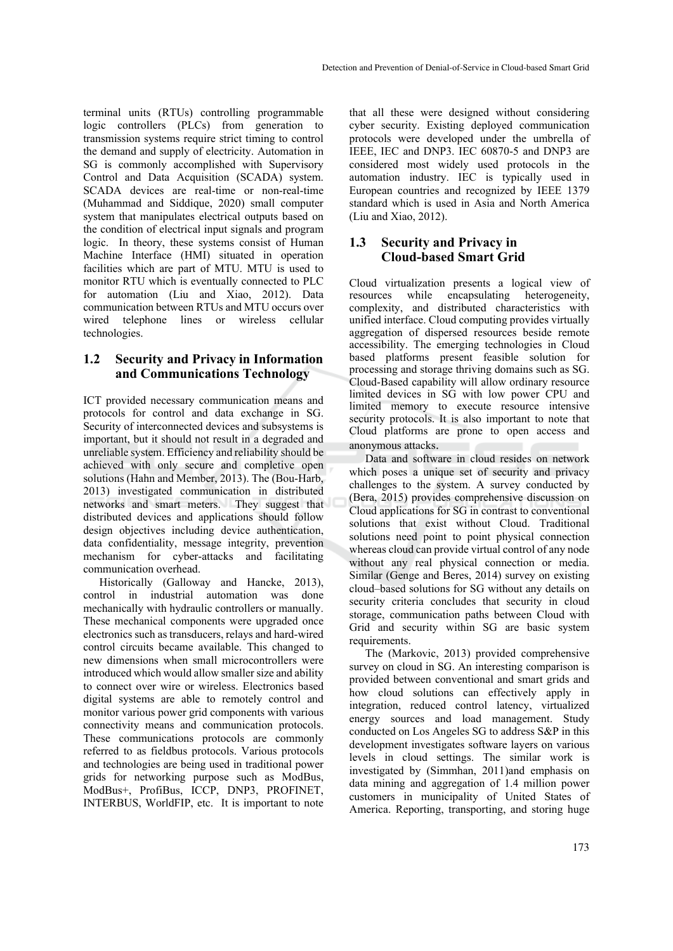terminal units (RTUs) controlling programmable logic controllers (PLCs) from generation to transmission systems require strict timing to control the demand and supply of electricity. Automation in SG is commonly accomplished with Supervisory Control and Data Acquisition (SCADA) system. SCADA devices are real-time or non-real-time (Muhammad and Siddique, 2020) small computer system that manipulates electrical outputs based on the condition of electrical input signals and program logic. In theory, these systems consist of Human Machine Interface (HMI) situated in operation facilities which are part of MTU. MTU is used to monitor RTU which is eventually connected to PLC for automation (Liu and Xiao, 2012). Data communication between RTUs and MTU occurs over wired telephone lines or wireless cellular technologies.

## **1.2 Security and Privacy in Information and Communications Technology**

ICT provided necessary communication means and protocols for control and data exchange in SG. Security of interconnected devices and subsystems is important, but it should not result in a degraded and unreliable system. Efficiency and reliability should be achieved with only secure and completive open solutions (Hahn and Member, 2013). The (Bou-Harb, 2013) investigated communication in distributed networks and smart meters. They suggest that distributed devices and applications should follow design objectives including device authentication, data confidentiality, message integrity, prevention mechanism for cyber-attacks and facilitating communication overhead.

Historically (Galloway and Hancke, 2013), control in industrial automation was done mechanically with hydraulic controllers or manually. These mechanical components were upgraded once electronics such as transducers, relays and hard-wired control circuits became available. This changed to new dimensions when small microcontrollers were introduced which would allow smaller size and ability to connect over wire or wireless. Electronics based digital systems are able to remotely control and monitor various power grid components with various connectivity means and communication protocols. These communications protocols are commonly referred to as fieldbus protocols. Various protocols and technologies are being used in traditional power grids for networking purpose such as ModBus, ModBus+, ProfiBus, ICCP, DNP3, PROFINET, INTERBUS, WorldFIP, etc. It is important to note

that all these were designed without considering cyber security. Existing deployed communication protocols were developed under the umbrella of IEEE, IEC and DNP3. IEC 60870-5 and DNP3 are considered most widely used protocols in the automation industry. IEC is typically used in European countries and recognized by IEEE 1379 standard which is used in Asia and North America (Liu and Xiao, 2012).

## **1.3 Security and Privacy in Cloud-based Smart Grid**

Cloud virtualization presents a logical view of resources while encapsulating heterogeneity, complexity, and distributed characteristics with unified interface. Cloud computing provides virtually aggregation of dispersed resources beside remote accessibility. The emerging technologies in Cloud based platforms present feasible solution for processing and storage thriving domains such as SG. Cloud-Based capability will allow ordinary resource limited devices in SG with low power CPU and limited memory to execute resource intensive security protocols. It is also important to note that Cloud platforms are prone to open access and

anonymous attacks. Data and software in cloud resides on network which poses a unique set of security and privacy challenges to the system. A survey conducted by (Bera, 2015) provides comprehensive discussion on Cloud applications for SG in contrast to conventional solutions that exist without Cloud. Traditional solutions need point to point physical connection whereas cloud can provide virtual control of any node without any real physical connection or media. Similar (Genge and Beres, 2014) survey on existing cloud–based solutions for SG without any details on security criteria concludes that security in cloud storage, communication paths between Cloud with Grid and security within SG are basic system requirements.

The (Markovic, 2013) provided comprehensive survey on cloud in SG. An interesting comparison is provided between conventional and smart grids and how cloud solutions can effectively apply in integration, reduced control latency, virtualized energy sources and load management. Study conducted on Los Angeles SG to address S&P in this development investigates software layers on various levels in cloud settings. The similar work is investigated by (Simmhan, 2011)and emphasis on data mining and aggregation of 1.4 million power customers in municipality of United States of America. Reporting, transporting, and storing huge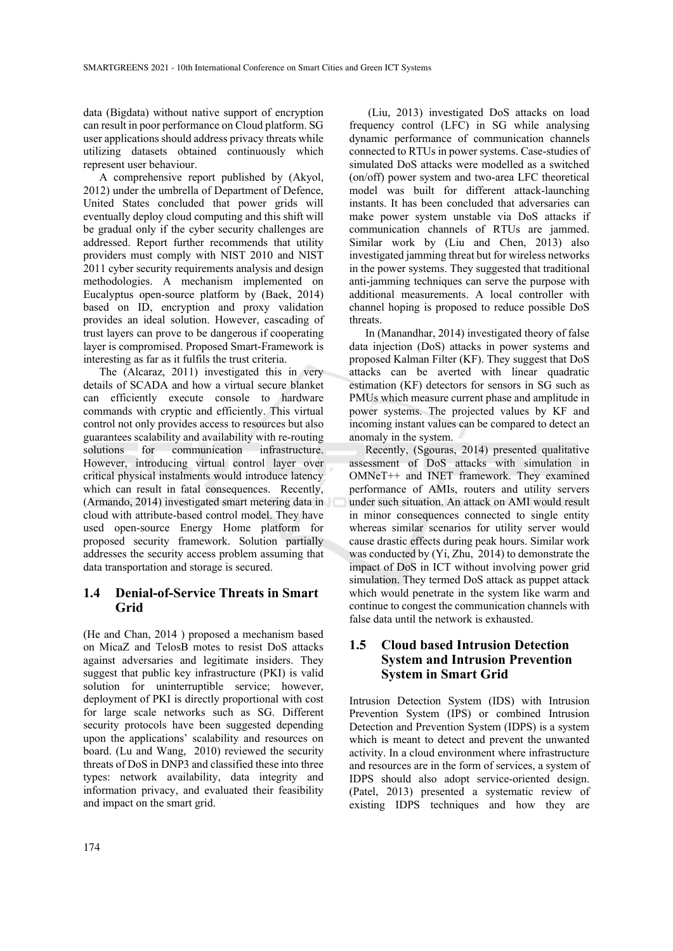data (Bigdata) without native support of encryption can result in poor performance on Cloud platform. SG user applications should address privacy threats while utilizing datasets obtained continuously which represent user behaviour.

A comprehensive report published by (Akyol, 2012) under the umbrella of Department of Defence, United States concluded that power grids will eventually deploy cloud computing and this shift will be gradual only if the cyber security challenges are addressed. Report further recommends that utility providers must comply with NIST 2010 and NIST 2011 cyber security requirements analysis and design methodologies. A mechanism implemented on Eucalyptus open-source platform by (Baek, 2014) based on ID, encryption and proxy validation provides an ideal solution. However, cascading of trust layers can prove to be dangerous if cooperating layer is compromised. Proposed Smart-Framework is interesting as far as it fulfils the trust criteria.

The (Alcaraz, 2011) investigated this in very details of SCADA and how a virtual secure blanket can efficiently execute console to hardware commands with cryptic and efficiently. This virtual control not only provides access to resources but also guarantees scalability and availability with re-routing solutions for communication infrastructure. However, introducing virtual control layer over critical physical instalments would introduce latency which can result in fatal consequences. Recently, (Armando, 2014) investigated smart metering data in cloud with attribute-based control model. They have used open-source Energy Home platform for proposed security framework. Solution partially addresses the security access problem assuming that data transportation and storage is secured.

#### **1.4 Denial-of-Service Threats in Smart Grid**

(He and Chan, 2014 ) proposed a mechanism based on MicaZ and TelosB motes to resist DoS attacks against adversaries and legitimate insiders. They suggest that public key infrastructure (PKI) is valid solution for uninterruptible service; however, deployment of PKI is directly proportional with cost for large scale networks such as SG. Different security protocols have been suggested depending upon the applications' scalability and resources on board. (Lu and Wang, 2010) reviewed the security threats of DoS in DNP3 and classified these into three types: network availability, data integrity and information privacy, and evaluated their feasibility and impact on the smart grid.

 (Liu, 2013) investigated DoS attacks on load frequency control (LFC) in SG while analysing dynamic performance of communication channels connected to RTUs in power systems. Case-studies of simulated DoS attacks were modelled as a switched (on/off) power system and two-area LFC theoretical model was built for different attack-launching instants. It has been concluded that adversaries can make power system unstable via DoS attacks if communication channels of RTUs are jammed. Similar work by (Liu and Chen, 2013) also investigated jamming threat but for wireless networks in the power systems. They suggested that traditional anti-jamming techniques can serve the purpose with additional measurements. A local controller with channel hoping is proposed to reduce possible DoS threats.

In (Manandhar, 2014) investigated theory of false data injection (DoS) attacks in power systems and proposed Kalman Filter (KF). They suggest that DoS attacks can be averted with linear quadratic estimation (KF) detectors for sensors in SG such as PMUs which measure current phase and amplitude in power systems. The projected values by KF and incoming instant values can be compared to detect an anomaly in the system.

Recently, (Sgouras, 2014) presented qualitative assessment of DoS attacks with simulation in OMNeT++ and INET framework. They examined performance of AMIs, routers and utility servers under such situation. An attack on AMI would result in minor consequences connected to single entity whereas similar scenarios for utility server would cause drastic effects during peak hours. Similar work was conducted by (Yi, Zhu, 2014) to demonstrate the impact of DoS in ICT without involving power grid simulation. They termed DoS attack as puppet attack which would penetrate in the system like warm and continue to congest the communication channels with false data until the network is exhausted.

## **1.5 Cloud based Intrusion Detection System and Intrusion Prevention System in Smart Grid**

Intrusion Detection System (IDS) with Intrusion Prevention System (IPS) or combined Intrusion Detection and Prevention System (IDPS) is a system which is meant to detect and prevent the unwanted activity. In a cloud environment where infrastructure and resources are in the form of services, a system of IDPS should also adopt service-oriented design. (Patel, 2013) presented a systematic review of existing IDPS techniques and how they are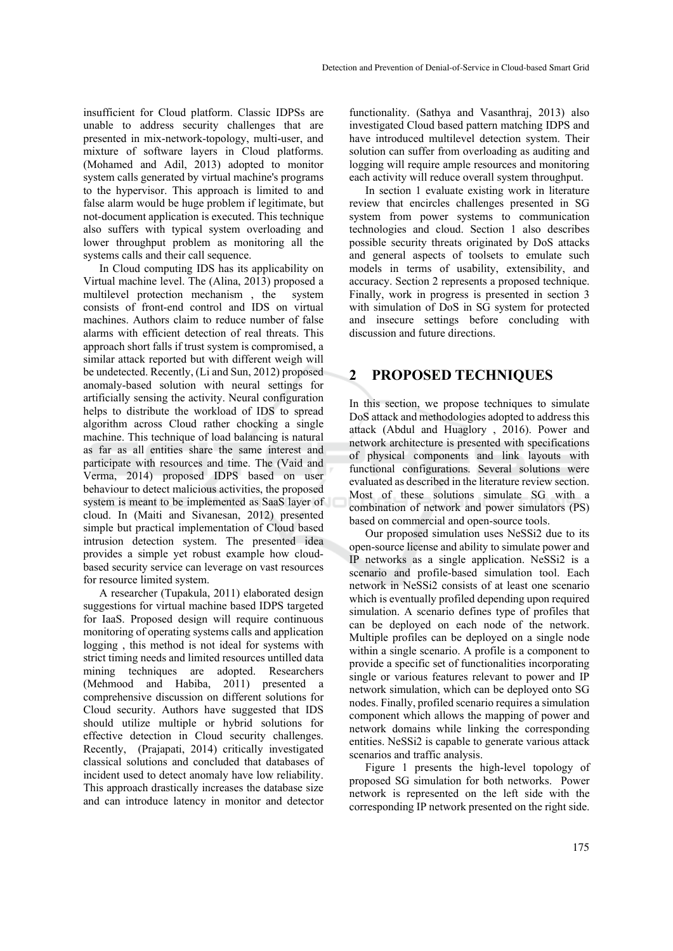insufficient for Cloud platform. Classic IDPSs are unable to address security challenges that are presented in mix-network-topology, multi-user, and mixture of software layers in Cloud platforms. (Mohamed and Adil, 2013) adopted to monitor system calls generated by virtual machine's programs to the hypervisor. This approach is limited to and false alarm would be huge problem if legitimate, but not-document application is executed. This technique also suffers with typical system overloading and lower throughput problem as monitoring all the systems calls and their call sequence.

In Cloud computing IDS has its applicability on Virtual machine level. The (Alina, 2013) proposed a multilevel protection mechanism , the system consists of front-end control and IDS on virtual machines. Authors claim to reduce number of false alarms with efficient detection of real threats. This approach short falls if trust system is compromised, a similar attack reported but with different weigh will be undetected. Recently, (Li and Sun, 2012) proposed anomaly-based solution with neural settings for artificially sensing the activity. Neural configuration helps to distribute the workload of IDS to spread algorithm across Cloud rather chocking a single machine. This technique of load balancing is natural as far as all entities share the same interest and participate with resources and time. The (Vaid and Verma, 2014) proposed IDPS based on user behaviour to detect malicious activities, the proposed system is meant to be implemented as SaaS layer of cloud. In (Maiti and Sivanesan, 2012) presented simple but practical implementation of Cloud based intrusion detection system. The presented idea provides a simple yet robust example how cloudbased security service can leverage on vast resources for resource limited system.

A researcher (Tupakula, 2011) elaborated design suggestions for virtual machine based IDPS targeted for IaaS. Proposed design will require continuous monitoring of operating systems calls and application logging , this method is not ideal for systems with strict timing needs and limited resources untilled data mining techniques are adopted. Researchers (Mehmood and Habiba, 2011) presented a comprehensive discussion on different solutions for Cloud security. Authors have suggested that IDS should utilize multiple or hybrid solutions for effective detection in Cloud security challenges. Recently, (Prajapati, 2014) critically investigated classical solutions and concluded that databases of incident used to detect anomaly have low reliability. This approach drastically increases the database size and can introduce latency in monitor and detector

functionality. (Sathya and Vasanthraj, 2013) also investigated Cloud based pattern matching IDPS and have introduced multilevel detection system. Their solution can suffer from overloading as auditing and logging will require ample resources and monitoring each activity will reduce overall system throughput.

In section 1 evaluate existing work in literature review that encircles challenges presented in SG system from power systems to communication technologies and cloud. Section 1 also describes possible security threats originated by DoS attacks and general aspects of toolsets to emulate such models in terms of usability, extensibility, and accuracy. Section 2 represents a proposed technique. Finally, work in progress is presented in section 3 with simulation of DoS in SG system for protected and insecure settings before concluding with discussion and future directions.

# **2 PROPOSED TECHNIQUES**

In this section, we propose techniques to simulate DoS attack and methodologies adopted to address this attack (Abdul and Huaglory , 2016). Power and network architecture is presented with specifications of physical components and link layouts with functional configurations. Several solutions were evaluated as described in the literature review section. Most of these solutions simulate SG with a combination of network and power simulators (PS) based on commercial and open-source tools.

Our proposed simulation uses NeSSi2 due to its open-source license and ability to simulate power and IP networks as a single application. NeSSi2 is a scenario and profile-based simulation tool. Each network in NeSSi2 consists of at least one scenario which is eventually profiled depending upon required simulation. A scenario defines type of profiles that can be deployed on each node of the network. Multiple profiles can be deployed on a single node within a single scenario. A profile is a component to provide a specific set of functionalities incorporating single or various features relevant to power and IP network simulation, which can be deployed onto SG nodes. Finally, profiled scenario requires a simulation component which allows the mapping of power and network domains while linking the corresponding entities. NeSSi2 is capable to generate various attack scenarios and traffic analysis.

Figure 1 presents the high-level topology of proposed SG simulation for both networks. Power network is represented on the left side with the corresponding IP network presented on the right side.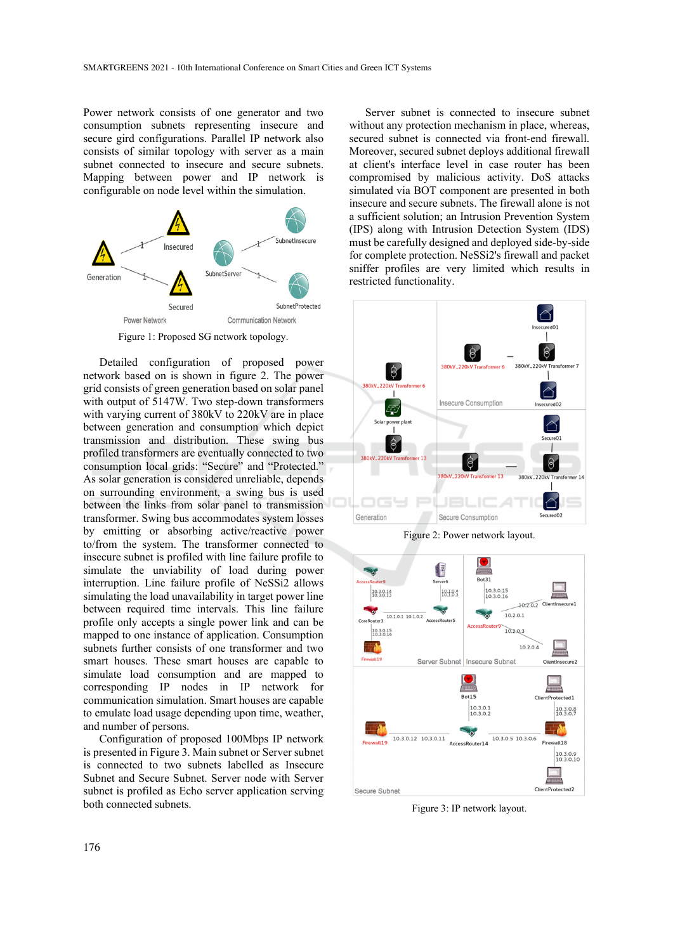Power network consists of one generator and two consumption subnets representing insecure and secure gird configurations. Parallel IP network also consists of similar topology with server as a main subnet connected to insecure and secure subnets. Mapping between power and IP network is configurable on node level within the simulation.



Figure 1: Proposed SG network topology.

Detailed configuration of proposed power network based on is shown in figure 2. The power grid consists of green generation based on solar panel with output of 5147W. Two step-down transformers with varying current of 380kV to 220kV are in place between generation and consumption which depict transmission and distribution. These swing bus profiled transformers are eventually connected to two consumption local grids: "Secure" and "Protected." As solar generation is considered unreliable, depends on surrounding environment, a swing bus is used between the links from solar panel to transmission transformer. Swing bus accommodates system losses by emitting or absorbing active/reactive power to/from the system. The transformer connected to insecure subnet is profiled with line failure profile to simulate the unviability of load during power interruption. Line failure profile of NeSSi2 allows simulating the load unavailability in target power line between required time intervals. This line failure profile only accepts a single power link and can be mapped to one instance of application. Consumption subnets further consists of one transformer and two smart houses. These smart houses are capable to simulate load consumption and are mapped to corresponding IP nodes in IP network for communication simulation. Smart houses are capable to emulate load usage depending upon time, weather, and number of persons.

Configuration of proposed 100Mbps IP network is presented in Figure 3. Main subnet or Server subnet is connected to two subnets labelled as Insecure Subnet and Secure Subnet. Server node with Server subnet is profiled as Echo server application serving both connected subnets.

Server subnet is connected to insecure subnet without any protection mechanism in place, whereas, secured subnet is connected via front-end firewall. Moreover, secured subnet deploys additional firewall at client's interface level in case router has been compromised by malicious activity. DoS attacks simulated via BOT component are presented in both insecure and secure subnets. The firewall alone is not a sufficient solution; an Intrusion Prevention System (IPS) along with Intrusion Detection System (IDS) must be carefully designed and deployed side-by-side for complete protection. NeSSi2's firewall and packet sniffer profiles are very limited which results in restricted functionality.



Figure 2: Power network layout.



Figure 3: IP network layout.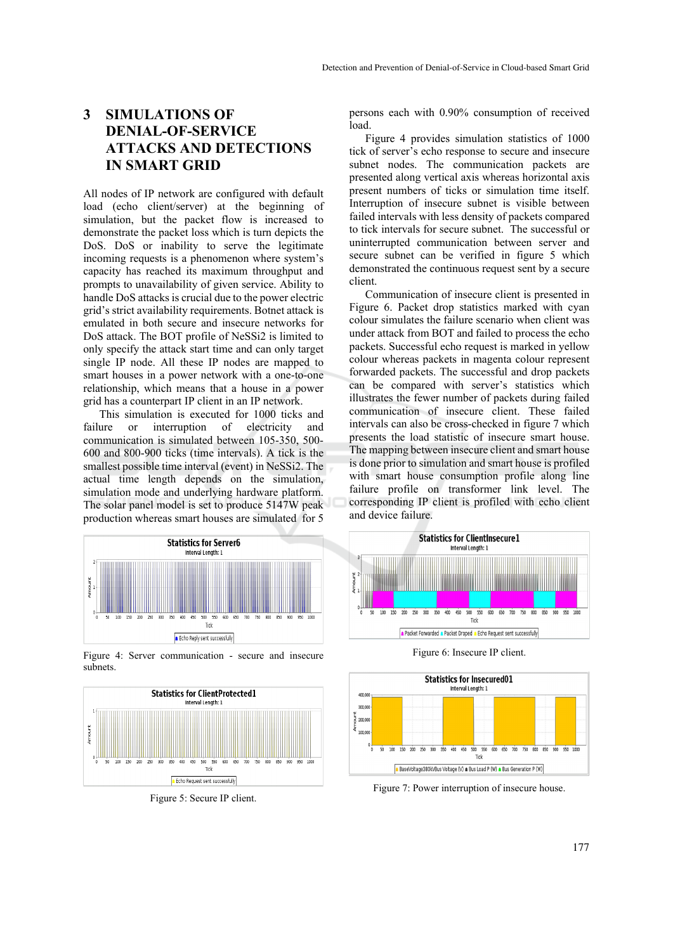# **3 SIMULATIONS OF DENIAL-OF-SERVICE ATTACKS AND DETECTIONS IN SMART GRID**

All nodes of IP network are configured with default load (echo client/server) at the beginning of simulation, but the packet flow is increased to demonstrate the packet loss which is turn depicts the DoS. DoS or inability to serve the legitimate incoming requests is a phenomenon where system's capacity has reached its maximum throughput and prompts to unavailability of given service. Ability to handle DoS attacks is crucial due to the power electric grid's strict availability requirements. Botnet attack is emulated in both secure and insecure networks for DoS attack. The BOT profile of NeSSi2 is limited to only specify the attack start time and can only target single IP node. All these IP nodes are mapped to smart houses in a power network with a one-to-one relationship, which means that a house in a power grid has a counterpart IP client in an IP network.

This simulation is executed for 1000 ticks and failure or interruption of electricity and communication is simulated between 105-350, 500- 600 and 800-900 ticks (time intervals). A tick is the smallest possible time interval (event) in NeSSi2. The actual time length depends on the simulation, simulation mode and underlying hardware platform. The solar panel model is set to produce 5147W peak production whereas smart houses are simulated for 5



Figure 4: Server communication - secure and insecure subnets.



Figure 5: Secure IP client.

persons each with 0.90% consumption of received load.

Figure 4 provides simulation statistics of 1000 tick of server's echo response to secure and insecure subnet nodes. The communication packets are presented along vertical axis whereas horizontal axis present numbers of ticks or simulation time itself. Interruption of insecure subnet is visible between failed intervals with less density of packets compared to tick intervals for secure subnet. The successful or uninterrupted communication between server and secure subnet can be verified in figure 5 which demonstrated the continuous request sent by a secure client.

Communication of insecure client is presented in Figure 6. Packet drop statistics marked with cyan colour simulates the failure scenario when client was under attack from BOT and failed to process the echo packets. Successful echo request is marked in yellow colour whereas packets in magenta colour represent forwarded packets. The successful and drop packets can be compared with server's statistics which illustrates the fewer number of packets during failed communication of insecure client. These failed intervals can also be cross-checked in figure 7 which presents the load statistic of insecure smart house. The mapping between insecure client and smart house is done prior to simulation and smart house is profiled with smart house consumption profile along line failure profile on transformer link level. The corresponding IP client is profiled with echo client and device failure.



Figure 6: Insecure IP client.



Figure 7: Power interruption of insecure house.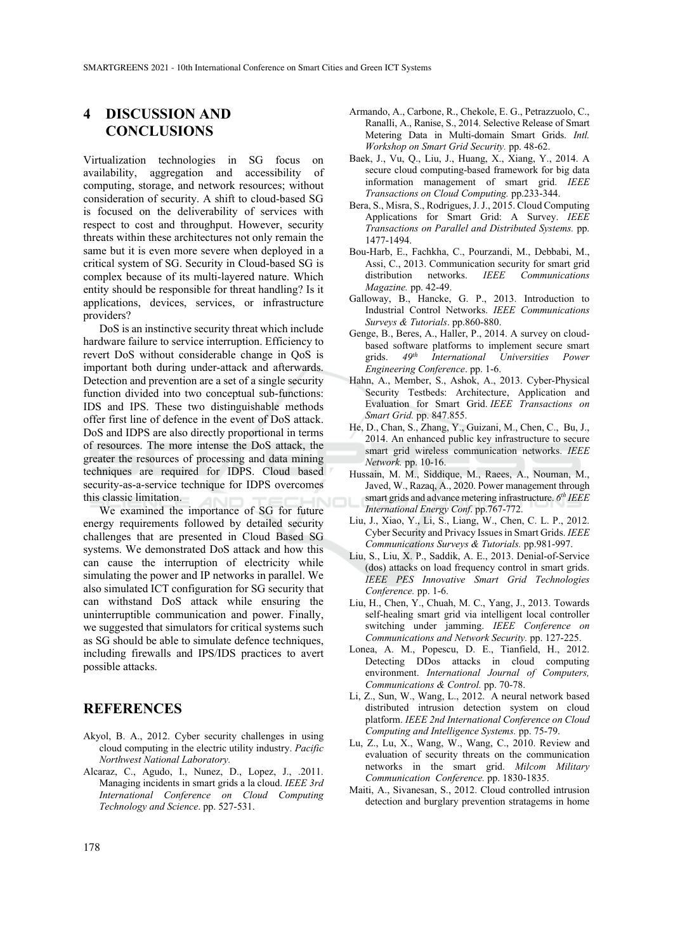# **4 DISCUSSION AND CONCLUSIONS**

Virtualization technologies in SG focus on availability, aggregation and accessibility of computing, storage, and network resources; without consideration of security. A shift to cloud-based SG is focused on the deliverability of services with respect to cost and throughput. However, security threats within these architectures not only remain the same but it is even more severe when deployed in a critical system of SG. Security in Cloud-based SG is complex because of its multi-layered nature. Which entity should be responsible for threat handling? Is it applications, devices, services, or infrastructure providers?

DoS is an instinctive security threat which include hardware failure to service interruption. Efficiency to revert DoS without considerable change in QoS is important both during under-attack and afterwards. Detection and prevention are a set of a single security function divided into two conceptual sub-functions: IDS and IPS. These two distinguishable methods offer first line of defence in the event of DoS attack. DoS and IDPS are also directly proportional in terms of resources. The more intense the DoS attack, the greater the resources of processing and data mining techniques are required for IDPS. Cloud based security-as-a-service technique for IDPS overcomes this classic limitation.

We examined the importance of SG for future energy requirements followed by detailed security challenges that are presented in Cloud Based SG systems. We demonstrated DoS attack and how this can cause the interruption of electricity while simulating the power and IP networks in parallel. We also simulated ICT configuration for SG security that can withstand DoS attack while ensuring the uninterruptible communication and power. Finally, we suggested that simulators for critical systems such as SG should be able to simulate defence techniques, including firewalls and IPS/IDS practices to avert possible attacks.

## **REFERENCES**

- Akyol, B. A., 2012. Cyber security challenges in using cloud computing in the electric utility industry. *Pacific Northwest National Laboratory.*
- Alcaraz, C., Agudo, I., Nunez, D., Lopez, J., .2011. Managing incidents in smart grids a la cloud. *IEEE 3rd International Conference on Cloud Computing Technology and Science*. pp. 527-531.
- Armando, A., Carbone, R., Chekole, E. G., Petrazzuolo, C., Ranalli, A., Ranise, S., 2014. Selective Release of Smart Metering Data in Multi-domain Smart Grids. *Intl. Workshop on Smart Grid Security.* pp. 48-62.
- Baek, J., Vu, Q., Liu, J., Huang, X., Xiang, Y., 2014. A secure cloud computing-based framework for big data information management of smart grid. *IEEE Transactions on Cloud Computing.* pp.233-344.
- Bera, S., Misra, S., Rodrigues, J. J., 2015. Cloud Computing Applications for Smart Grid: A Survey. *IEEE Transactions on Parallel and Distributed Systems.* pp. 1477-1494.
- Bou-Harb, E., Fachkha, C., Pourzandi, M., Debbabi, M., Assi, C., 2013. Communication security for smart grid distribution networks. *IEEE Communications Magazine.* pp. 42-49.
- Galloway, B., Hancke, G. P., 2013. Introduction to Industrial Control Networks. *IEEE Communications Surveys & Tutorials*. pp.860-880.
- Genge, B., Beres, A., Haller, P., 2014. A survey on cloudbased software platforms to implement secure smart grids. *49th International Universities Power Engineering Conference*. pp. 1-6.
- Hahn, A., Member, S., Ashok, A., 2013. Cyber-Physical Security Testbeds: Architecture, Application and Evaluation for Smart Grid. *IEEE Transactions on Smart Grid.* pp. 847.855.
- He, D., Chan, S., Zhang, Y., Guizani, M., Chen, C., Bu, J., 2014. An enhanced public key infrastructure to secure smart grid wireless communication networks. *IEEE Network.* pp. 10-16.
- Hussain, M. M., Siddique, M., Raees, A., Nouman, M., Javed, W., Razaq, A., 2020. Power management through smart grids and advance metering infrastructure. *6th IEEE International Energy Conf*. pp.767-772.
- Liu, J., Xiao, Y., Li, S., Liang, W., Chen, C. L. P., 2012. Cyber Security and Privacy Issues in Smart Grids. *IEEE Communications Surveys & Tutorials.* pp.981-997.
- Liu, S., Liu, X. P., Saddik, A. E., 2013. Denial-of-Service (dos) attacks on load frequency control in smart grids. *IEEE PES Innovative Smart Grid Technologies Conference.* pp. 1-6.
- Liu, H., Chen, Y., Chuah, M. C., Yang, J., 2013. Towards self-healing smart grid via intelligent local controller switching under jamming. *IEEE Conference on Communications and Network Security.* pp. 127-225.
- Lonea, A. M., Popescu, D. E., Tianfield, H., 2012. Detecting DDos attacks in cloud computing environment. *International Journal of Computers, Communications & Control.* pp. 70-78.
- Li, Z., Sun, W., Wang, L., 2012. A neural network based distributed intrusion detection system on cloud platform. *IEEE 2nd International Conference on Cloud Computing and Intelligence Systems.* pp. 75-79.
- Lu, Z., Lu, X., Wang, W., Wang, C., 2010. Review and evaluation of security threats on the communication networks in the smart grid. *Milcom Military Communication Conference.* pp. 1830-1835.
- Maiti, A., Sivanesan, S., 2012. Cloud controlled intrusion detection and burglary prevention stratagems in home